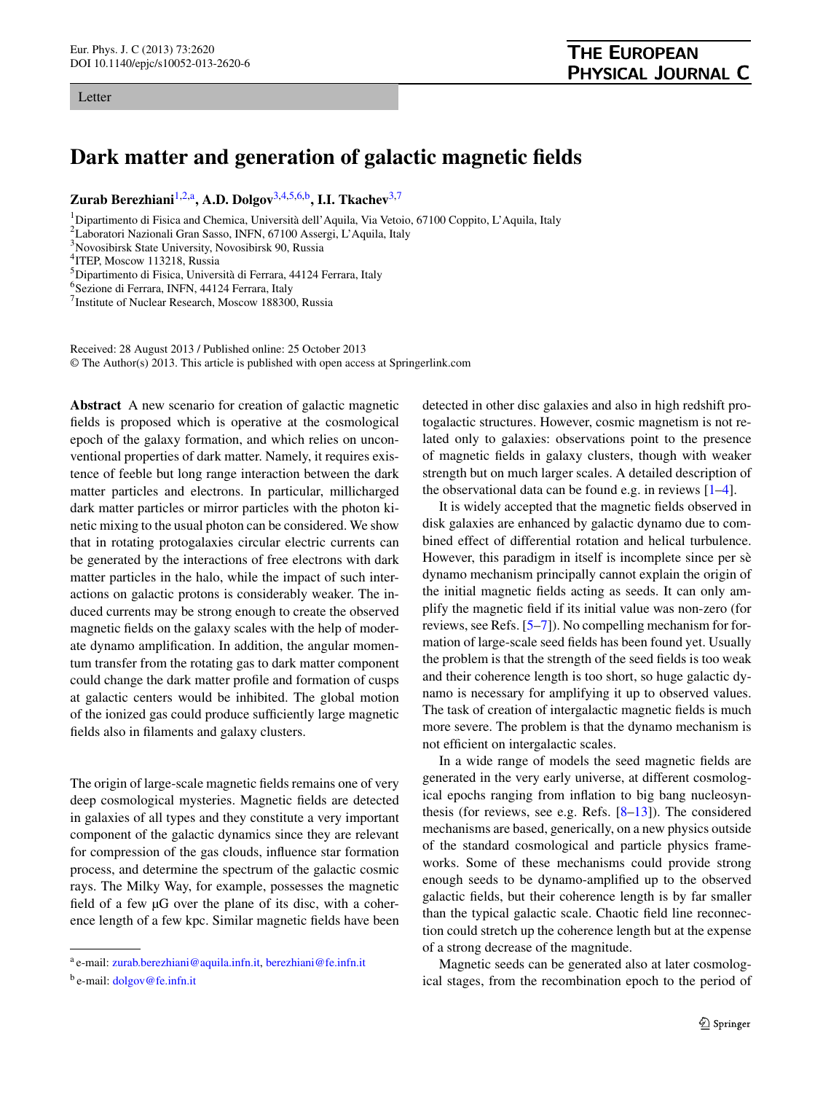## <span id="page-0-8"></span><span id="page-0-6"></span><span id="page-0-5"></span><span id="page-0-4"></span><span id="page-0-3"></span><span id="page-0-1"></span><span id="page-0-0"></span>**Dark matter and generation of galactic magnetic fields**

**Zurab Berezhiani**[1,](#page-0-0)[2,](#page-0-1)[a](#page-0-2)**, A.D. Dolgov**[3,](#page-0-3)[4](#page-0-4)[,5,](#page-0-5)[6,](#page-0-6)[b](#page-0-7)**, I.I. Tkachev**[3](#page-0-3)[,7](#page-0-8)

<sup>1</sup>Dipartimento di Fisica and Chemica, Università dell'Aquila, Via Vetoio, 67100 Coppito, L'Aquila, Italy

2 Laboratori Nazionali Gran Sasso, INFN, 67100 Assergi, L'Aquila, Italy

3 Novosibirsk State University, Novosibirsk 90, Russia

Received: 28 August 2013 / Published online: 25 October 2013 © The Author(s) 2013. This article is published with open access at Springerlink.com

**Abstract** A new scenario for creation of galactic magnetic fields is proposed which is operative at the cosmological epoch of the galaxy formation, and which relies on unconventional properties of dark matter. Namely, it requires existence of feeble but long range interaction between the dark matter particles and electrons. In particular, millicharged dark matter particles or mirror particles with the photon kinetic mixing to the usual photon can be considered. We show that in rotating protogalaxies circular electric currents can be generated by the interactions of free electrons with dark matter particles in the halo, while the impact of such interactions on galactic protons is considerably weaker. The induced currents may be strong enough to create the observed magnetic fields on the galaxy scales with the help of moderate dynamo amplification. In addition, the angular momentum transfer from the rotating gas to dark matter component could change the dark matter profile and formation of cusps at galactic centers would be inhibited. The global motion of the ionized gas could produce sufficiently large magnetic fields also in filaments and galaxy clusters.

<span id="page-0-7"></span><span id="page-0-2"></span>The origin of large-scale magnetic fields remains one of very deep cosmological mysteries. Magnetic fields are detected in galaxies of all types and they constitute a very important component of the galactic dynamics since they are relevant for compression of the gas clouds, influence star formation process, and determine the spectrum of the galactic cosmic rays. The Milky Way, for example, possesses the magnetic field of a few µG over the plane of its disc, with a coherence length of a few kpc. Similar magnetic fields have been detected in other disc galaxies and also in high redshift protogalactic structures. However, cosmic magnetism is not related only to galaxies: observations point to the presence of magnetic fields in galaxy clusters, though with weaker strength but on much larger scales. A detailed description of the observational data can be found e.g. in reviews  $[1-4]$  $[1-4]$ .

It is widely accepted that the magnetic fields observed in disk galaxies are enhanced by galactic dynamo due to combined effect of differential rotation and helical turbulence. However, this paradigm in itself is incomplete since per sè dynamo mechanism principally cannot explain the origin of the initial magnetic fields acting as seeds. It can only amplify the magnetic field if its initial value was non-zero (for reviews, see Refs. [\[5](#page-7-2)[–7](#page-7-3)]). No compelling mechanism for formation of large-scale seed fields has been found yet. Usually the problem is that the strength of the seed fields is too weak and their coherence length is too short, so huge galactic dynamo is necessary for amplifying it up to observed values. The task of creation of intergalactic magnetic fields is much more severe. The problem is that the dynamo mechanism is not efficient on intergalactic scales.

In a wide range of models the seed magnetic fields are generated in the very early universe, at different cosmological epochs ranging from inflation to big bang nucleosynthesis (for reviews, see e.g. Refs. [\[8](#page-7-4)[–13](#page-7-5)]). The considered mechanisms are based, generically, on a new physics outside of the standard cosmological and particle physics frameworks. Some of these mechanisms could provide strong enough seeds to be dynamo-amplified up to the observed galactic fields, but their coherence length is by far smaller than the typical galactic scale. Chaotic field line reconnection could stretch up the coherence length but at the expense of a strong decrease of the magnitude.

Magnetic seeds can be generated also at later cosmological stages, from the recombination epoch to the period of

<sup>&</sup>lt;sup>4</sup>ITEP, Moscow 113218, Russia

<sup>&</sup>lt;sup>5</sup>Dipartimento di Fisica, Università di Ferrara, 44124 Ferrara, Italy

<sup>6</sup> Sezione di Ferrara, INFN, 44124 Ferrara, Italy

<sup>&</sup>lt;sup>7</sup> Institute of Nuclear Research, Moscow 188300, Russia

<sup>a</sup> e-mail: [zurab.berezhiani@aquila.infn.it](mailto:zurab.berezhiani@aquila.infn.it), [berezhiani@fe.infn.it](mailto:berezhiani@fe.infn.it)

<sup>b</sup> e-mail: [dolgov@fe.infn.it](mailto:dolgov@fe.infn.it)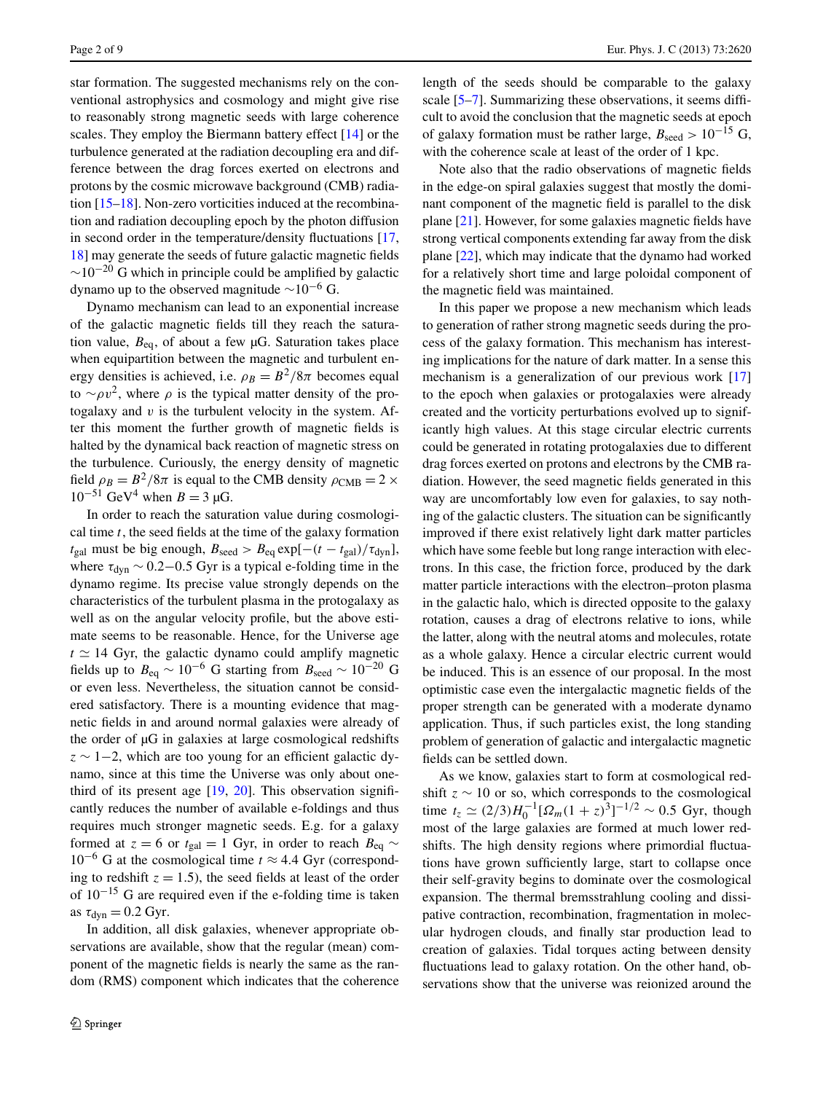star formation. The suggested mechanisms rely on the conventional astrophysics and cosmology and might give rise to reasonably strong magnetic seeds with large coherence scales. They employ the Biermann battery effect [\[14](#page-7-6)] or the turbulence generated at the radiation decoupling era and difference between the drag forces exerted on electrons and protons by the cosmic microwave background (CMB) radiation [[15–](#page-7-7)[18\]](#page-7-8). Non-zero vorticities induced at the recombination and radiation decoupling epoch by the photon diffusion in second order in the temperature/density fluctuations [\[17](#page-7-9), [18\]](#page-7-8) may generate the seeds of future galactic magnetic fields  $\sim$ 10<sup>-20</sup> G which in principle could be amplified by galactic dynamo up to the observed magnitude  $\sim 10^{-6}$  G.

Dynamo mechanism can lead to an exponential increase of the galactic magnetic fields till they reach the saturation value,  $B_{eq}$ , of about a few  $\mu$ G. Saturation takes place when equipartition between the magnetic and turbulent energy densities is achieved, i.e.  $\rho_B = B^2/8\pi$  becomes equal to  $~\sim \rho v^2$ , where  $\rho$  is the typical matter density of the protogalaxy and *v* is the turbulent velocity in the system. After this moment the further growth of magnetic fields is halted by the dynamical back reaction of magnetic stress on the turbulence. Curiously, the energy density of magnetic field  $\rho_B = B^2/8\pi$  is equal to the CMB density  $\rho_{\text{CMB}} = 2 \times$  $10^{-51}$  GeV<sup>4</sup> when  $B = 3 \mu$ G.

In order to reach the saturation value during cosmological time *t*, the seed fields at the time of the galaxy formation  $t_{\text{gal}}$  must be big enough,  $B_{\text{seed}} > B_{\text{eq}} \exp[-(t - t_{\text{gal}})/\tau_{\text{dyn}}],$ where  $\tau_{\text{dyn}} \sim 0.2 - 0.5$  Gyr is a typical e-folding time in the dynamo regime. Its precise value strongly depends on the characteristics of the turbulent plasma in the protogalaxy as well as on the angular velocity profile, but the above estimate seems to be reasonable. Hence, for the Universe age  $t \approx 14$  Gyr, the galactic dynamo could amplify magnetic fields up to  $B_{eq} \sim 10^{-6}$  G starting from  $B_{seed} \sim 10^{-20}$  G or even less. Nevertheless, the situation cannot be considered satisfactory. There is a mounting evidence that magnetic fields in and around normal galaxies were already of the order of µG in galaxies at large cosmological redshifts *z* ∼ 1−2, which are too young for an efficient galactic dynamo, since at this time the Universe was only about onethird of its present age [[19,](#page-7-10) [20](#page-7-11)]. This observation significantly reduces the number of available e-foldings and thus requires much stronger magnetic seeds. E.g. for a galaxy formed at *z* = 6 or  $t_{gal}$  = 1 Gyr, in order to reach  $B_{eq}$  ~ 10−<sup>6</sup> G at the cosmological time *t* ≈ 4*.*4 Gyr (corresponding to redshift  $z = 1.5$ ), the seed fields at least of the order of 10−<sup>15</sup> G are required even if the e-folding time is taken as  $\tau_{dyn} = 0.2$  Gyr.

In addition, all disk galaxies, whenever appropriate observations are available, show that the regular (mean) component of the magnetic fields is nearly the same as the random (RMS) component which indicates that the coherence length of the seeds should be comparable to the galaxy scale [[5–](#page-7-2)[7\]](#page-7-3). Summarizing these observations, it seems difficult to avoid the conclusion that the magnetic seeds at epoch of galaxy formation must be rather large,  $B_{\text{seed}} > 10^{-15}$  G, with the coherence scale at least of the order of 1 kpc.

Note also that the radio observations of magnetic fields in the edge-on spiral galaxies suggest that mostly the dominant component of the magnetic field is parallel to the disk plane [[21\]](#page-7-12). However, for some galaxies magnetic fields have strong vertical components extending far away from the disk plane [\[22](#page-7-13)], which may indicate that the dynamo had worked for a relatively short time and large poloidal component of the magnetic field was maintained.

In this paper we propose a new mechanism which leads to generation of rather strong magnetic seeds during the process of the galaxy formation. This mechanism has interesting implications for the nature of dark matter. In a sense this mechanism is a generalization of our previous work [[17\]](#page-7-9) to the epoch when galaxies or protogalaxies were already created and the vorticity perturbations evolved up to significantly high values. At this stage circular electric currents could be generated in rotating protogalaxies due to different drag forces exerted on protons and electrons by the CMB radiation. However, the seed magnetic fields generated in this way are uncomfortably low even for galaxies, to say nothing of the galactic clusters. The situation can be significantly improved if there exist relatively light dark matter particles which have some feeble but long range interaction with electrons. In this case, the friction force, produced by the dark matter particle interactions with the electron–proton plasma in the galactic halo, which is directed opposite to the galaxy rotation, causes a drag of electrons relative to ions, while the latter, along with the neutral atoms and molecules, rotate as a whole galaxy. Hence a circular electric current would be induced. This is an essence of our proposal. In the most optimistic case even the intergalactic magnetic fields of the proper strength can be generated with a moderate dynamo application. Thus, if such particles exist, the long standing problem of generation of galactic and intergalactic magnetic fields can be settled down.

As we know, galaxies start to form at cosmological redshift  $z \sim 10$  or so, which corresponds to the cosmological time  $t_z \simeq (2/3)H_0^{-1}[\Omega_m(1+z)^3]^{-1/2} \sim 0.5$  Gyr, though most of the large galaxies are formed at much lower redshifts. The high density regions where primordial fluctuations have grown sufficiently large, start to collapse once their self-gravity begins to dominate over the cosmological expansion. The thermal bremsstrahlung cooling and dissipative contraction, recombination, fragmentation in molecular hydrogen clouds, and finally star production lead to creation of galaxies. Tidal torques acting between density fluctuations lead to galaxy rotation. On the other hand, observations show that the universe was reionized around the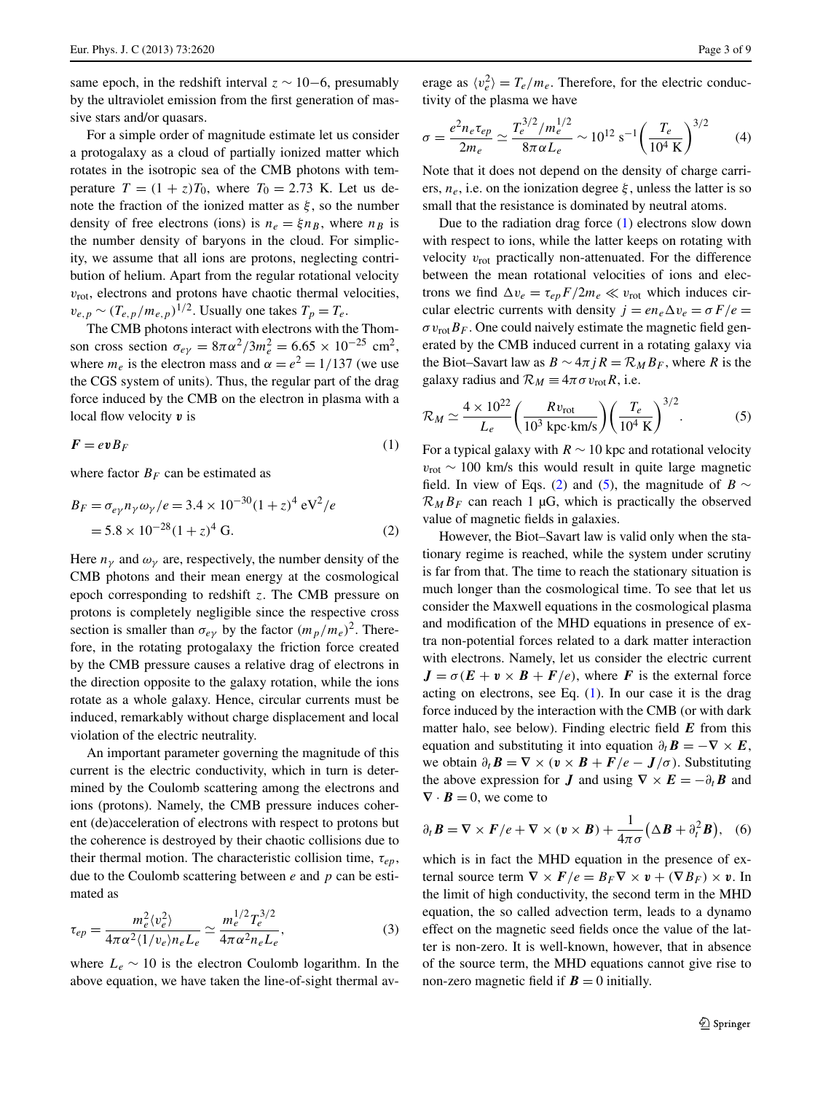same epoch, in the redshift interval  $z \sim 10-6$ , presumably by the ultraviolet emission from the first generation of massive stars and/or quasars.

For a simple order of magnitude estimate let us consider a protogalaxy as a cloud of partially ionized matter which rotates in the isotropic sea of the CMB photons with temperature  $T = (1 + z)T_0$ , where  $T_0 = 2.73$  K. Let us denote the fraction of the ionized matter as *ξ* , so the number density of free electrons (ions) is  $n_e = \xi n_B$ , where  $n_B$  is the number density of baryons in the cloud. For simplicity, we assume that all ions are protons, neglecting contribution of helium. Apart from the regular rotational velocity  $v_{\text{rot}}$ , electrons and protons have chaotic thermal velocities,  $v_{e,p} \sim (T_{e,p}/m_{e,p})^{1/2}$ . Usually one takes  $T_p = T_e$ .

<span id="page-2-1"></span><span id="page-2-0"></span>The CMB photons interact with electrons with the Thomson cross section  $\sigma_{e\gamma} = 8\pi \alpha^2 / 3m_e^2 = 6.65 \times 10^{-25}$  cm<sup>2</sup>, where  $m_e$  is the electron mass and  $\alpha = e^2 = 1/137$  (we use the CGS system of units). Thus, the regular part of the drag force induced by the CMB on the electron in plasma with a local flow velocity *v* is

$$
\boldsymbol{F} = \boldsymbol{ev} \boldsymbol{B}_F \tag{1}
$$

where factor  $B_F$  can be estimated as

$$
B_F = \sigma_{e\gamma} n_{\gamma} \omega_{\gamma} / e = 3.4 \times 10^{-30} (1+z)^4 \text{ eV}^2 / e
$$
  
= 5.8 × 10<sup>-28</sup> (1 + z)<sup>4</sup> G. (2)

Here  $n_v$  and  $\omega_v$  are, respectively, the number density of the CMB photons and their mean energy at the cosmological epoch corresponding to redshift *z*. The CMB pressure on protons is completely negligible since the respective cross section is smaller than  $\sigma_{e\gamma}$  by the factor  $(m_p/m_e)^2$ . Therefore, in the rotating protogalaxy the friction force created by the CMB pressure causes a relative drag of electrons in the direction opposite to the galaxy rotation, while the ions rotate as a whole galaxy. Hence, circular currents must be induced, remarkably without charge displacement and local violation of the electric neutrality.

<span id="page-2-3"></span>An important parameter governing the magnitude of this current is the electric conductivity, which in turn is determined by the Coulomb scattering among the electrons and ions (protons). Namely, the CMB pressure induces coherent (de)acceleration of electrons with respect to protons but the coherence is destroyed by their chaotic collisions due to their thermal motion. The characteristic collision time, *τep*, due to the Coulomb scattering between *e* and *p* can be estimated as

$$
\tau_{ep} = \frac{m_e^2 \langle v_e^2 \rangle}{4\pi \alpha^2 \langle 1/v_e \rangle n_e L_e} \simeq \frac{m_e^{1/2} T_e^{3/2}}{4\pi \alpha^2 n_e L_e},\tag{3}
$$

where  $L_e \sim 10$  is the electron Coulomb logarithm. In the above equation, we have taken the line-of-sight thermal av-

erage as  $\langle v_e^2 \rangle = T_e/m_e$ . Therefore, for the electric conductivity of the plasma we have

$$
\sigma = \frac{e^2 n_e \tau_{ep}}{2m_e} \simeq \frac{T_e^{3/2} / m_e^{1/2}}{8\pi \alpha L_e} \sim 10^{12} \text{ s}^{-1} \left(\frac{T_e}{10^4 \text{ K}}\right)^{3/2} \tag{4}
$$

Note that it does not depend on the density of charge carriers,  $n_e$ , i.e. on the ionization degree  $\xi$ , unless the latter is so small that the resistance is dominated by neutral atoms.

<span id="page-2-2"></span>Due to the radiation drag force ([1\)](#page-2-0) electrons slow down with respect to ions, while the latter keeps on rotating with velocity  $v_{\text{rot}}$  practically non-attenuated. For the difference between the mean rotational velocities of ions and electrons we find  $\Delta v_e = \tau_{ep} F / 2 m_e \ll v_{\text{rot}}$  which induces circular electric currents with density  $j = en_e \Delta v_e = \sigma F/e$  $\sigma v_{\text{rot}} B_F$ . One could naively estimate the magnetic field generated by the CMB induced current in a rotating galaxy via the Biot–Savart law as  $B \sim 4\pi jR = \mathcal{R}_M B_F$ , where *R* is the galaxy radius and  $\mathcal{R}_M \equiv 4\pi \sigma v_{\text{rot}} R$ , i.e.

$$
\mathcal{R}_M \simeq \frac{4 \times 10^{22}}{L_e} \left( \frac{R v_{\text{rot}}}{10^3 \text{ kpc} \cdot \text{km/s}} \right) \left( \frac{T_e}{10^4 \text{ K}} \right)^{3/2}.
$$
 (5)

For a typical galaxy with  $R \sim 10$  kpc and rotational velocity *v*<sub>rot</sub> ~ 100 km/s this would result in quite large magnetic field. In view of Eqs. [\(2](#page-2-1)) and [\(5](#page-2-2)), the magnitude of *B*  $\sim$  $\mathcal{R}_M B_F$  can reach 1 µG, which is practically the observed value of magnetic fields in galaxies.

However, the Biot–Savart law is valid only when the stationary regime is reached, while the system under scrutiny is far from that. The time to reach the stationary situation is much longer than the cosmological time. To see that let us consider the Maxwell equations in the cosmological plasma and modification of the MHD equations in presence of extra non-potential forces related to a dark matter interaction with electrons. Namely, let us consider the electric current  $J = \sigma(E + v \times B + F/e)$ , where *F* is the external force acting on electrons, see Eq. ([1\)](#page-2-0). In our case it is the drag force induced by the interaction with the CMB (or with dark matter halo, see below). Finding electric field *E* from this equation and substituting it into equation  $\partial_t \mathbf{B} = -\nabla \times \mathbf{E}$ , we obtain  $\partial_t \mathbf{B} = \nabla \times (\mathbf{v} \times \mathbf{B} + \mathbf{F}/e - \mathbf{J}/\sigma)$ . Substituting the above expression for *J* and using  $\nabla \times E = -\partial_t B$  and  $\nabla \cdot \mathbf{B} = 0$ , we come to

<span id="page-2-4"></span>
$$
\partial_t \mathbf{B} = \nabla \times \mathbf{F}/e + \nabla \times (\mathbf{v} \times \mathbf{B}) + \frac{1}{4\pi\sigma} \left(\Delta \mathbf{B} + \partial_t^2 \mathbf{B}\right), \quad (6)
$$

which is in fact the MHD equation in the presence of external source term  $\nabla \times \mathbf{F}/e = B_F \nabla \times \mathbf{v} + (\nabla B_F) \times \mathbf{v}$ . In the limit of high conductivity, the second term in the MHD equation, the so called advection term, leads to a dynamo effect on the magnetic seed fields once the value of the latter is non-zero. It is well-known, however, that in absence of the source term, the MHD equations cannot give rise to non-zero magnetic field if  $B = 0$  initially.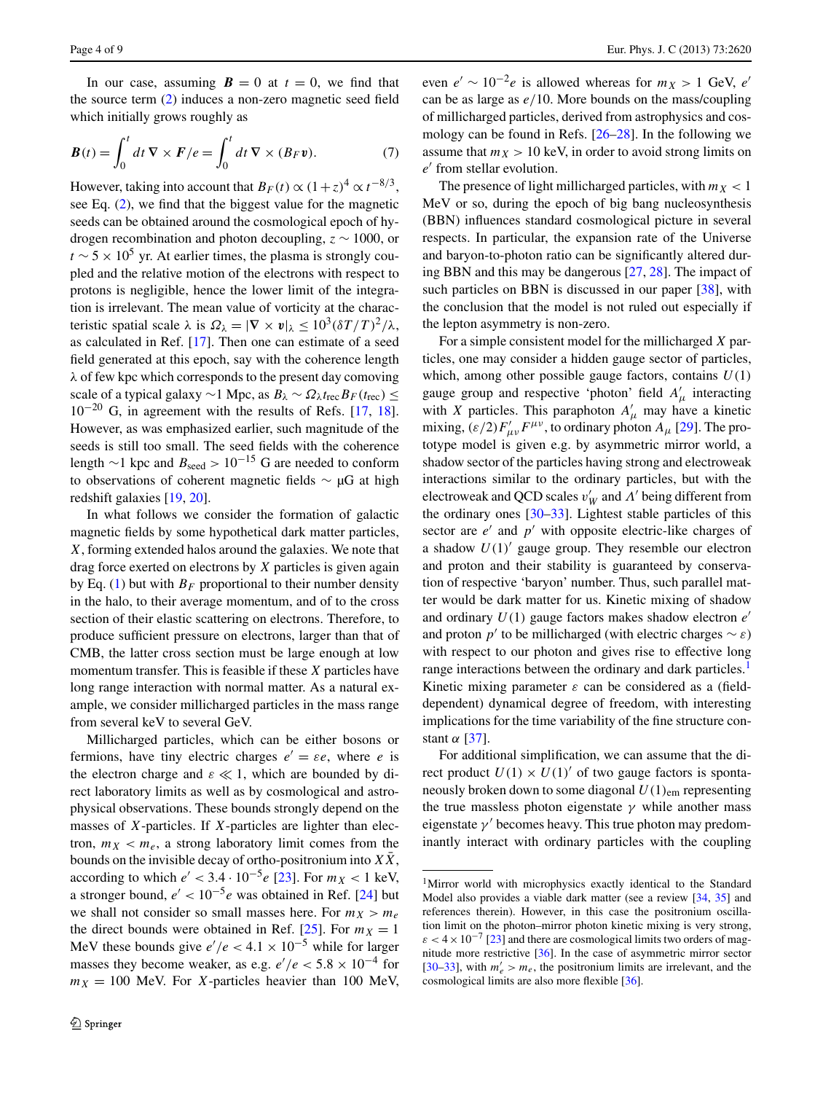<span id="page-3-1"></span>In our case, assuming  $B = 0$  at  $t = 0$ , we find that the source term ([2\)](#page-2-1) induces a non-zero magnetic seed field which initially grows roughly as

$$
\boldsymbol{B}(t) = \int_0^t dt \, \boldsymbol{\nabla} \times \boldsymbol{F}/e = \int_0^t dt \, \boldsymbol{\nabla} \times (\boldsymbol{B}_F \boldsymbol{v}). \tag{7}
$$

However, taking into account that  $B_F(t) \propto (1+z)^4 \propto t^{-8/3}$ , see Eq. [\(2](#page-2-1)), we find that the biggest value for the magnetic seeds can be obtained around the cosmological epoch of hydrogen recombination and photon decoupling, *z* ∼ 1000, or  $t \sim 5 \times 10^5$  yr. At earlier times, the plasma is strongly coupled and the relative motion of the electrons with respect to protons is negligible, hence the lower limit of the integration is irrelevant. The mean value of vorticity at the characteristic spatial scale  $\lambda$  is  $\Omega_{\lambda} = |\nabla \times v|_{\lambda} \leq 10^3 (\delta T/T)^2 / \lambda$ , as calculated in Ref. [[17\]](#page-7-9). Then one can estimate of a seed field generated at this epoch, say with the coherence length *λ* of few kpc which corresponds to the present day comoving scale of a typical galaxy  $\sim$ 1 Mpc, as  $B_\lambda \sim \Omega_\lambda t_{\text{rec}} B_F(t_{\text{rec}}) \le$  $10^{-20}$  G, in agreement with the results of Refs. [[17,](#page-7-9) [18](#page-7-8)]. However, as was emphasized earlier, such magnitude of the seeds is still too small. The seed fields with the coherence length  $\sim$ 1 kpc and *B*<sub>seed</sub> > 10<sup>−15</sup> G are needed to conform to observations of coherent magnetic fields ∼ µG at high redshift galaxies [\[19](#page-7-10), [20](#page-7-11)].

In what follows we consider the formation of galactic magnetic fields by some hypothetical dark matter particles, *X*, forming extended halos around the galaxies. We note that drag force exerted on electrons by *X* particles is given again by Eq. ([1\)](#page-2-0) but with  $B_F$  proportional to their number density in the halo, to their average momentum, and of to the cross section of their elastic scattering on electrons. Therefore, to produce sufficient pressure on electrons, larger than that of CMB, the latter cross section must be large enough at low momentum transfer. This is feasible if these *X* particles have long range interaction with normal matter. As a natural example, we consider millicharged particles in the mass range from several keV to several GeV.

Millicharged particles, which can be either bosons or fermions, have tiny electric charges  $e' = \varepsilon e$ , where *e* is the electron charge and  $\varepsilon \ll 1$ , which are bounded by direct laboratory limits as well as by cosmological and astrophysical observations. These bounds strongly depend on the masses of *X*-particles. If *X*-particles are lighter than electron,  $m_X < m_e$ , a strong laboratory limit comes from the bounds on the invisible decay of ortho-positronium into  $X\overline{X}$ , according to which  $e' < 3.4 \cdot 10^{-5} e$  [\[23](#page-7-14)]. For  $m<sub>X</sub> < 1$  keV, a stronger bound,  $e' < 10^{-5}e$  was obtained in Ref. [\[24](#page-7-15)] but we shall not consider so small masses here. For  $m_X > m_e$ the direct bounds were obtained in Ref.  $[25]$  $[25]$ . For  $m<sub>X</sub> = 1$ MeV these bounds give  $e'/e < 4.1 \times 10^{-5}$  while for larger masses they become weaker, as e.g.  $e'/e < 5.8 \times 10^{-4}$  for  $m_X = 100$  MeV. For *X*-particles heavier than 100 MeV, even  $e' \sim 10^{-2}e$  is allowed whereas for  $m_X > 1$  GeV,  $e'$ can be as large as *e/*10. More bounds on the mass/coupling of millicharged particles, derived from astrophysics and cosmology can be found in Refs. [\[26](#page-8-1)[–28](#page-8-2)]. In the following we assume that  $m_X > 10$  keV, in order to avoid strong limits on  $e'$  from stellar evolution.

The presence of light millicharged particles, with  $m<sub>X</sub> < 1$ MeV or so, during the epoch of big bang nucleosynthesis (BBN) influences standard cosmological picture in several respects. In particular, the expansion rate of the Universe and baryon-to-photon ratio can be significantly altered during BBN and this may be dangerous [\[27](#page-8-3), [28](#page-8-2)]. The impact of such particles on BBN is discussed in our paper [\[38](#page-8-4)], with the conclusion that the model is not ruled out especially if the lepton asymmetry is non-zero.

For a simple consistent model for the millicharged *X* particles, one may consider a hidden gauge sector of particles, which, among other possible gauge factors, contains *U(*1*)* gauge group and respective 'photon' field  $A'_\mu$  interacting with *X* particles. This paraphoton  $A'_\mu$  may have a kinetic mixing,  $(\varepsilon/2) F'_{\mu\nu} F^{\mu\nu}$ , to ordinary photon  $A_{\mu}$  [\[29](#page-8-5)]. The prototype model is given e.g. by asymmetric mirror world, a shadow sector of the particles having strong and electroweak interactions similar to the ordinary particles, but with the electroweak and QCD scales  $v'_W$  and  $Λ'$  being different from the ordinary ones  $[30-33]$  $[30-33]$ . Lightest stable particles of this sector are  $e'$  and  $p'$  with opposite electric-like charges of a shadow  $U(1)$ <sup>'</sup> gauge group. They resemble our electron and proton and their stability is guaranteed by conservation of respective 'baryon' number. Thus, such parallel matter would be dark matter for us. Kinetic mixing of shadow and ordinary *U(*1*)* gauge factors makes shadow electron *e* and proton  $p'$  to be millicharged (with electric charges  $\sim \varepsilon$ ) with respect to our photon and gives rise to effective long range interactions between the ordinary and dark particles.<sup>[1](#page-3-0)</sup> Kinetic mixing parameter *ε* can be considered as a (fielddependent) dynamical degree of freedom, with interesting implications for the time variability of the fine structure constant *α* [\[37](#page-8-8)].

<span id="page-3-0"></span>For additional simplification, we can assume that the direct product  $U(1) \times U(1)$  of two gauge factors is spontaneously broken down to some diagonal *U(*1*)*em representing the true massless photon eigenstate  $\gamma$  while another mass eigenstate  $\gamma'$  becomes heavy. This true photon may predominantly interact with ordinary particles with the coupling

<sup>1</sup>Mirror world with microphysics exactly identical to the Standard Model also provides a viable dark matter (see a review [\[34](#page-8-9), [35\]](#page-8-10) and references therein). However, in this case the positronium oscillation limit on the photon–mirror photon kinetic mixing is very strong,  $\epsilon$  < 4 × 10<sup>-7</sup> [[23](#page-7-14)] and there are cosmological limits two orders of magnitude more restrictive [[36](#page-8-11)]. In the case of asymmetric mirror sector [[30](#page-8-6)[–33\]](#page-8-7), with  $m'_e > m_e$ , the positronium limits are irrelevant, and the cosmological limits are also more flexible [[36\]](#page-8-11).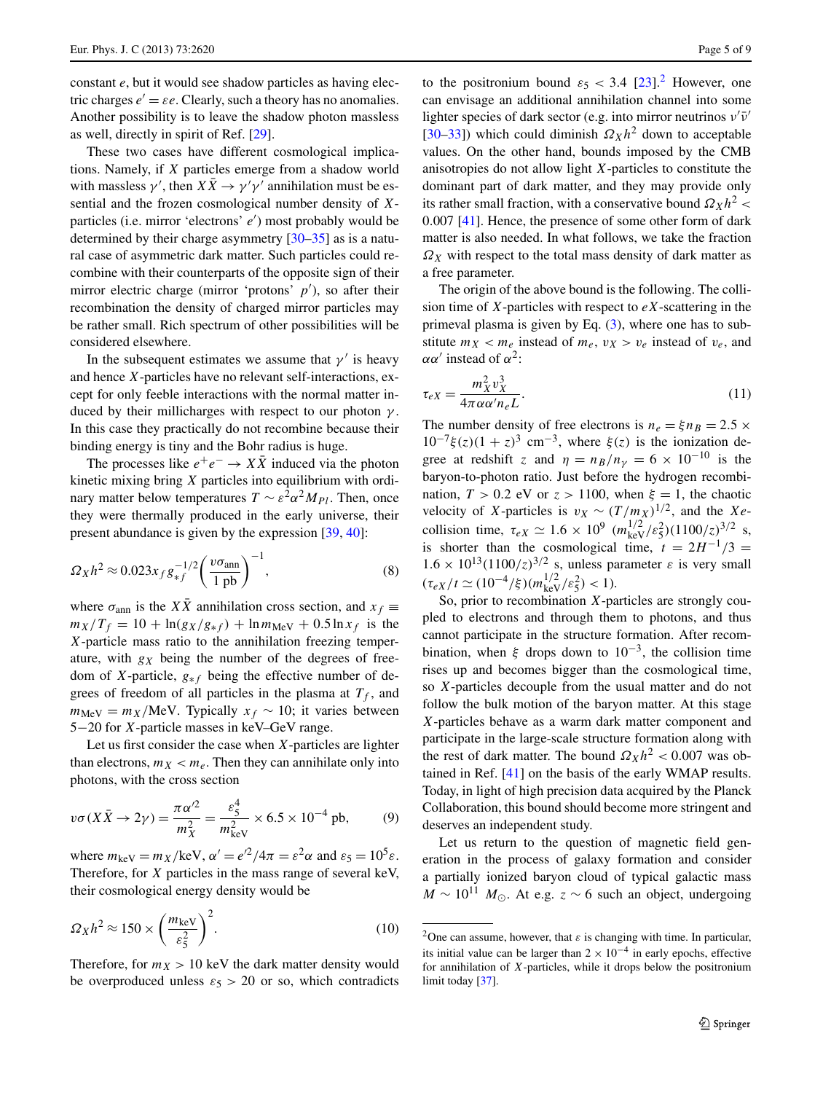constant *e*, but it would see shadow particles as having electric charges  $e' = \varepsilon e$ . Clearly, such a theory has no anomalies. Another possibility is to leave the shadow photon massless as well, directly in spirit of Ref. [\[29](#page-8-5)].

These two cases have different cosmological implications. Namely, if *X* particles emerge from a shadow world with massless  $\gamma'$ , then  $X\overline{X} \to \gamma' \gamma'$  annihilation must be essential and the frozen cosmological number density of *X*particles (i.e. mirror 'electrons' *e* ) most probably would be determined by their charge asymmetry [[30–](#page-8-6)[35\]](#page-8-10) as is a natural case of asymmetric dark matter. Such particles could recombine with their counterparts of the opposite sign of their mirror electric charge (mirror 'protons' p'), so after their recombination the density of charged mirror particles may be rather small. Rich spectrum of other possibilities will be considered elsewhere.

In the subsequent estimates we assume that  $\gamma'$  is heavy and hence *X*-particles have no relevant self-interactions, except for only feeble interactions with the normal matter induced by their millicharges with respect to our photon *γ* . In this case they practically do not recombine because their binding energy is tiny and the Bohr radius is huge.

The processes like  $e^+e^- \rightarrow X\overline{X}$  induced via the photon kinetic mixing bring *X* particles into equilibrium with ordinary matter below temperatures  $T \sim \varepsilon^2 \alpha^2 M_{Pl}$ . Then, once they were thermally produced in the early universe, their present abundance is given by the expression [[39,](#page-8-12) [40\]](#page-8-13):

$$
\Omega_X h^2 \approx 0.023 x_f g_{*f}^{-1/2} \left(\frac{v\sigma_{\rm ann}}{1 \text{ pb}}\right)^{-1},\tag{8}
$$

where  $\sigma_{\text{ann}}$  is the  $X\overline{X}$  annihilation cross section, and  $x_f \equiv$  $m_X/T_f = 10 + \ln(g_X/g_{*f}) + \ln m_{\text{MeV}} + 0.5 \ln x_f$  is the *X*-particle mass ratio to the annihilation freezing temperature, with *gX* being the number of the degrees of freedom of *X*-particle, *g*∗*<sup>f</sup>* being the effective number of degrees of freedom of all particles in the plasma at  $T_f$ , and  $m_{\text{MeV}} = m_X/\text{MeV}$ . Typically  $x_f \sim 10$ ; it varies between 5−20 for *X*-particle masses in keV–GeV range.

Let us first consider the case when *X*-particles are lighter than electrons,  $m_X < m_e$ . Then they can annihilate only into photons, with the cross section

$$
v\sigma(X\bar{X}\to 2\gamma) = \frac{\pi\alpha'^2}{m_X^2} = \frac{\varepsilon_5^4}{m_{\text{keV}}^2} \times 6.5 \times 10^{-4} \text{ pb},\tag{9}
$$

where  $m_{\text{keV}} = m_X/\text{keV}$ ,  $\alpha' = e^{2}/4\pi = \varepsilon^2 \alpha$  and  $\varepsilon_5 = 10^5 \varepsilon$ . Therefore, for *X* particles in the mass range of several keV, their cosmological energy density would be

$$
\Omega_X h^2 \approx 150 \times \left(\frac{m_{\text{keV}}}{\varepsilon_5^2}\right)^2.
$$
 (10)

Therefore, for  $m_X > 10$  keV the dark matter density would be overproduced unless  $\varepsilon_5 > 20$  or so, which contradicts

to the positronium bound  $\varepsilon_5 < 3.4$  [\[23](#page-7-14)].<sup>[2](#page-4-0)</sup> However, one can envisage an additional annihilation channel into some lighter species of dark sector (e.g. into mirror neutrinos  $ν'ν'$ [\[30](#page-8-6)[–33](#page-8-7)]) which could diminish  $\Omega_X h^2$  down to acceptable values. On the other hand, bounds imposed by the CMB anisotropies do not allow light *X*-particles to constitute the dominant part of dark matter, and they may provide only its rather small fraction, with a conservative bound  $\Omega_X h^2$  < 0*.*007 [[41\]](#page-8-14). Hence, the presence of some other form of dark matter is also needed. In what follows, we take the fraction  $\Omega_X$  with respect to the total mass density of dark matter as a free parameter.

<span id="page-4-1"></span>The origin of the above bound is the following. The collision time of *X*-particles with respect to *eX*-scattering in the primeval plasma is given by Eq.  $(3)$  $(3)$ , where one has to substitute  $m_X < m_e$  instead of  $m_e$ ,  $v_X > v_e$  instead of  $v_e$ , and *αα'* instead of  $α^2$ :

$$
\tau_{eX} = \frac{m_X^2 v_X^3}{4\pi \alpha \alpha' n_e L}.
$$
\n(11)

The number density of free electrons is  $n_e = \xi n_B = 2.5 \times$  $10^{-7}$ ξ(z)(1 + z)<sup>3</sup> cm<sup>-3</sup>, where ξ(z) is the ionization degree at redshift *z* and  $\eta = n_B/n_\gamma = 6 \times 10^{-10}$  is the baryon-to-photon ratio. Just before the hydrogen recombination,  $T > 0.2$  eV or  $z > 1100$ , when  $\xi = 1$ , the chaotic velocity of *X*-particles is  $v_X \sim (T/m_X)^{1/2}$ , and the *Xe*collision time,  $\tau_{eX} \simeq 1.6 \times 10^9$   $(m_{keV}^{1/2}/\varepsilon_5^2)(1100/z)^{3/2}$  s, is shorter than the cosmological time,  $t = 2H^{-1}/3$  =  $1.6 \times 10^{13} (1100/z)^{3/2}$  s, unless parameter  $\varepsilon$  is very small  $(\tau_{eX}/t \simeq (10^{-4}/\xi)(m_{\text{keV}}^{1/2}/\varepsilon_5^2) < 1$ .

So, prior to recombination *X*-particles are strongly coupled to electrons and through them to photons, and thus cannot participate in the structure formation. After recombination, when  $\xi$  drops down to 10<sup>-3</sup>, the collision time rises up and becomes bigger than the cosmological time, so *X*-particles decouple from the usual matter and do not follow the bulk motion of the baryon matter. At this stage *X*-particles behave as a warm dark matter component and participate in the large-scale structure formation along with the rest of dark matter. The bound  $\Omega_X h^2 < 0.007$  was obtained in Ref. [\[41](#page-8-14)] on the basis of the early WMAP results. Today, in light of high precision data acquired by the Planck Collaboration, this bound should become more stringent and deserves an independent study.

<span id="page-4-0"></span>Let us return to the question of magnetic field generation in the process of galaxy formation and consider a partially ionized baryon cloud of typical galactic mass  $M \sim 10^{11} M_{\odot}$ . At e.g.  $z \sim 6$  such an object, undergoing

<sup>&</sup>lt;sup>2</sup>One can assume, however, that  $\varepsilon$  is changing with time. In particular, its initial value can be larger than  $2 \times 10^{-4}$  in early epochs, effective for annihilation of *X*-particles, while it drops below the positronium limit today [[37](#page-8-8)].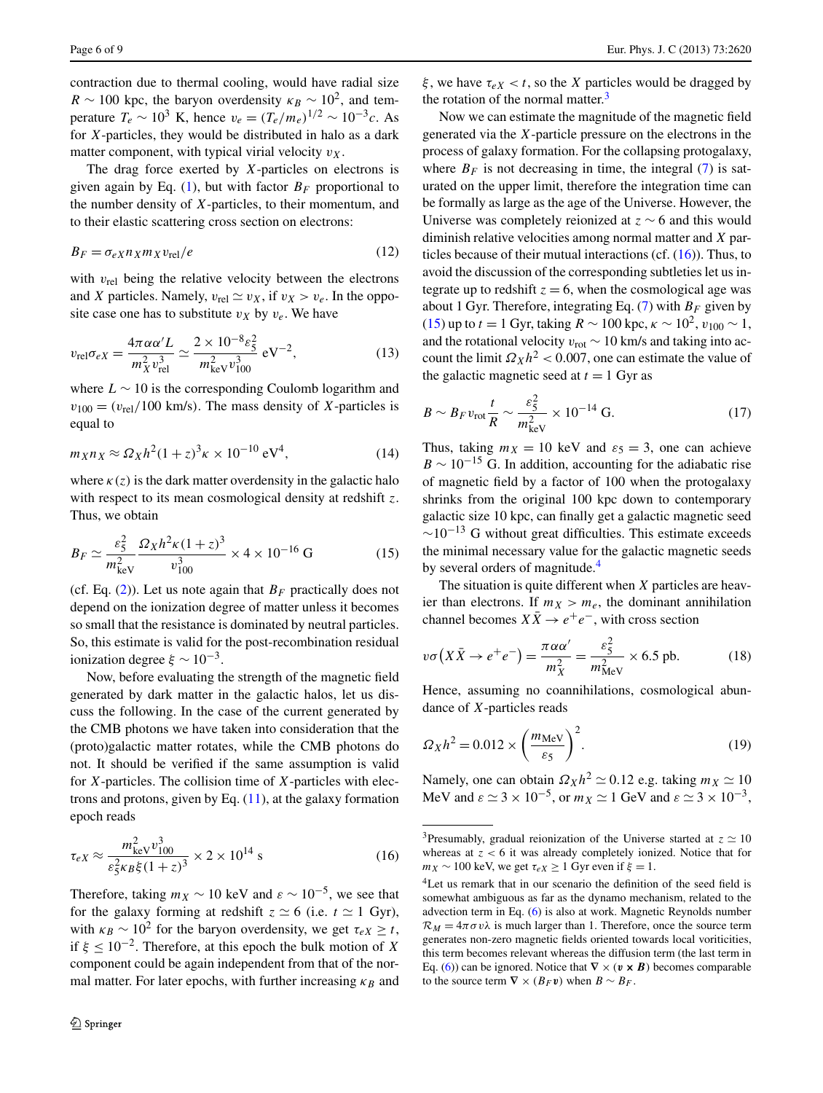<span id="page-5-6"></span>contraction due to thermal cooling, would have radial size  $R \sim 100$  kpc, the baryon overdensity  $\kappa_B \sim 10^2$ , and temperature  $T_e \sim 10^3$  K, hence  $v_e = (T_e/m_e)^{1/2} \sim 10^{-3}c$ . As for *X*-particles, they would be distributed in halo as a dark matter component, with typical virial velocity  $v<sub>x</sub>$ .

The drag force exerted by *X*-particles on electrons is given again by Eq. [\(1](#page-2-0)), but with factor  $B_F$  proportional to the number density of *X*-particles, to their momentum, and to their elastic scattering cross section on electrons:

<span id="page-5-5"></span>
$$
B_F = \sigma_{eX} n_X m_X v_{\text{rel}}/e \tag{12}
$$

with *v*<sub>rel</sub> being the relative velocity between the electrons and *X* particles. Namely,  $v_{rel} \simeq v_X$ , if  $v_X > v_e$ . In the opposite case one has to substitute  $v_X$  by  $v_e$ . We have

$$
v_{\rm rel}\sigma_{eX} = \frac{4\pi\alpha\alpha'L}{m_X^2 v_{\rm rel}^3} \simeq \frac{2 \times 10^{-8} \varepsilon_S^2}{m_{\rm keV}^2 v_{100}^3} \text{ eV}^{-2},\tag{13}
$$

where  $L \sim 10$  is the corresponding Coulomb logarithm and  $v_{100} = (v_{rel}/100 \text{ km/s})$ . The mass density of *X*-particles is equal to

<span id="page-5-2"></span>
$$
m_X n_X \approx \Omega_X h^2 (1+z)^3 \kappa \times 10^{-10} \text{ eV}^4,\tag{14}
$$

where  $\kappa(z)$  is the dark matter overdensity in the galactic halo with respect to its mean cosmological density at redshift *z*. Thus, we obtain

$$
B_F \simeq \frac{\varepsilon_5^2}{m_{\text{keV}}^2} \frac{\Omega_X h^2 \kappa (1+z)^3}{v_{100}^3} \times 4 \times 10^{-16} \text{ G}
$$
 (15)

(cf. Eq.  $(2)$  $(2)$ ). Let us note again that  $B_F$  practically does not depend on the ionization degree of matter unless it becomes so small that the resistance is dominated by neutral particles. So, this estimate is valid for the post-recombination residual ionization degree  $ξ \sim 10^{-3}$ .

<span id="page-5-1"></span>Now, before evaluating the strength of the magnetic field generated by dark matter in the galactic halos, let us discuss the following. In the case of the current generated by the CMB photons we have taken into consideration that the (proto)galactic matter rotates, while the CMB photons do not. It should be verified if the same assumption is valid for *X*-particles. The collision time of *X*-particles with electrons and protons, given by Eq. [\(11](#page-4-1)), at the galaxy formation epoch reads

$$
\tau_{eX} \approx \frac{m_{\text{keV}}^2 v_{100}^3}{\varepsilon_5^2 \kappa_B \xi (1+z)^3} \times 2 \times 10^{14} \text{ s}
$$
 (16)

Therefore, taking  $m_X \sim 10$  keV and  $\varepsilon \sim 10^{-5}$ , we see that for the galaxy forming at redshift  $z \approx 6$  (i.e.  $t \approx 1$  Gyr), with  $\kappa_B \sim 10^2$  for the baryon overdensity, we get  $\tau_{eX} > t$ , if  $\xi \leq 10^{-2}$ . Therefore, at this epoch the bulk motion of *X* component could be again independent from that of the normal matter. For later epochs, with further increasing  $\kappa_B$  and *ξ* , we have *τeX < t*, so the *X* particles would be dragged by the rotation of the normal matter. $3$ 

Now we can estimate the magnitude of the magnetic field generated via the *X*-particle pressure on the electrons in the process of galaxy formation. For the collapsing protogalaxy, where  $B_F$  is not decreasing in time, the integral [\(7](#page-3-1)) is saturated on the upper limit, therefore the integration time can be formally as large as the age of the Universe. However, the Universe was completely reionized at *z* ∼ 6 and this would diminish relative velocities among normal matter and *X* particles because of their mutual interactions (cf.  $(16)$  $(16)$ ). Thus, to avoid the discussion of the corresponding subtleties let us integrate up to redshift  $z = 6$ , when the cosmological age was about 1 Gyr. Therefore, integrating Eq.  $(7)$  $(7)$  with  $B_F$  given by [\(15](#page-5-2)) up to *t* = 1 Gyr, taking  $R \sim 100$  kpc,  $\kappa \sim 10^2$ ,  $v_{100} \sim 1$ , and the rotational velocity *v*rot ∼ 10 km/s and taking into account the limit  $\Omega_X h^2 < 0.007$ , one can estimate the value of the galactic magnetic seed at  $t = 1$  Gyr as

$$
B \sim B_F v_{\rm rot} \frac{t}{R} \sim \frac{\varepsilon_5^2}{m_{\rm keV}^2} \times 10^{-14} \text{ G.}
$$
 (17)

Thus, taking  $m_X = 10$  keV and  $\varepsilon_5 = 3$ , one can achieve  $B \sim 10^{-15}$  G. In addition, accounting for the adiabatic rise of magnetic field by a factor of 100 when the protogalaxy shrinks from the original 100 kpc down to contemporary galactic size 10 kpc, can finally get a galactic magnetic seed  $\sim$ 10<sup>-13</sup> G without great difficulties. This estimate exceeds the minimal necessary value for the galactic magnetic seeds by several orders of magnitude.<sup>4</sup>

<span id="page-5-7"></span>The situation is quite different when *X* particles are heavier than electrons. If  $m_X > m_e$ , the dominant annihilation channel becomes  $X\overline{X} \to e^+e^-$ , with cross section

<span id="page-5-4"></span>
$$
v\sigma\left(X\bar{X}\to e^+e^-\right) = \frac{\pi\alpha\alpha'}{m_X^2} = \frac{\varepsilon_S^2}{m_{\text{MeV}}^2} \times 6.5 \text{ pb.} \tag{18}
$$

<span id="page-5-0"></span>Hence, assuming no coannihilations, cosmological abundance of *X*-particles reads

$$
\Omega_X h^2 = 0.012 \times \left(\frac{m_{\text{MeV}}}{\varepsilon_5}\right)^2. \tag{19}
$$

<span id="page-5-3"></span>Namely, one can obtain  $\Omega_X h^2 \simeq 0.12$  e.g. taking  $m_X \simeq 10$ MeV and  $\varepsilon \simeq 3 \times 10^{-5}$ , or  $m_X \simeq 1$  GeV and  $\varepsilon \simeq 3 \times 10^{-3}$ ,

<sup>&</sup>lt;sup>3</sup>Presumably, gradual reionization of the Universe started at  $z \approx 10$ whereas at *z <* 6 it was already completely ionized. Notice that for  $m_X \sim 100$  keV, we get  $\tau_{eX} \ge 1$  Gyr even if  $\xi = 1$ .

<sup>&</sup>lt;sup>4</sup>Let us remark that in our scenario the definition of the seed field is somewhat ambiguous as far as the dynamo mechanism, related to the advection term in Eq. [\(6](#page-2-4)) is also at work. Magnetic Reynolds number  $\mathcal{R}_M = 4\pi \sigma v \lambda$  is much larger than 1. Therefore, once the source term generates non-zero magnetic fields oriented towards local voriticities, this term becomes relevant whereas the diffusion term (the last term in Eq. [\(6](#page-2-4))) can be ignored. Notice that  $\nabla \times (\mathbf{v} \times \mathbf{B})$  becomes comparable to the source term  $\nabla \times (B_F \mathbf{v})$  when  $B \sim B_F$ .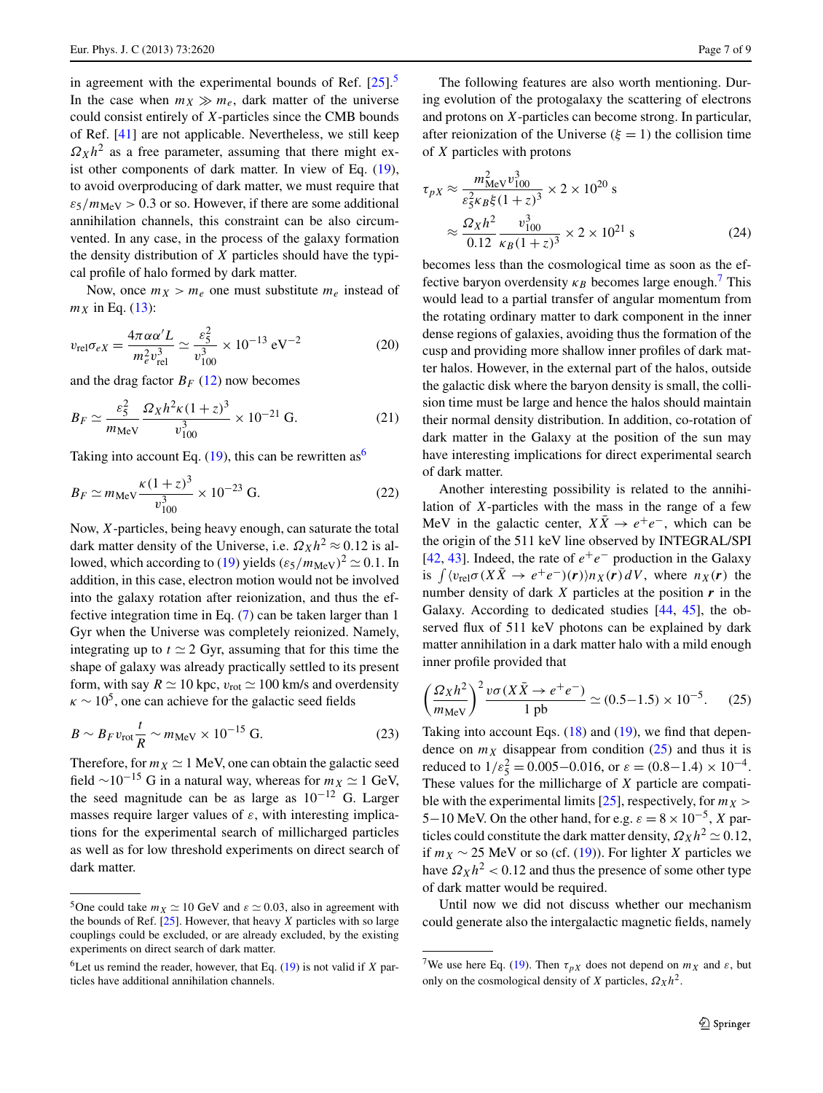in agreement with the experimental bounds of Ref.  $[25]$  $[25]$ <sup>[5](#page-6-0)</sup> In the case when  $m_X \gg m_e$ , dark matter of the universe could consist entirely of *X*-particles since the CMB bounds of Ref. [[41\]](#page-8-14) are not applicable. Nevertheless, we still keep  $Q_Xh^2$  as a free parameter, assuming that there might exist other components of dark matter. In view of Eq. [\(19](#page-5-4)), to avoid overproducing of dark matter, we must require that  $\epsilon_5/m_{\text{MeV}} > 0.3$  or so. However, if there are some additional annihilation channels, this constraint can be also circumvented. In any case, in the process of the galaxy formation the density distribution of *X* particles should have the typical profile of halo formed by dark matter.

Now, once  $m_X > m_e$  one must substitute  $m_e$  instead of  $m_X$  in Eq. [\(13](#page-5-5)):

$$
v_{\rm rel}\sigma_{eX} = \frac{4\pi\alpha\alpha'L}{m_e^2 v_{\rm rel}^3} \simeq \frac{\varepsilon_5^2}{v_{100}^3} \times 10^{-13} \,\text{eV}^{-2} \tag{20}
$$

and the drag factor  $B_F$  [\(12](#page-5-6)) now becomes

$$
B_F \simeq \frac{\varepsilon_5^2}{m_{\text{MeV}}} \frac{\Omega_X h^2 \kappa (1+z)^3}{v_{100}^3} \times 10^{-21} \text{ G.}
$$
 (21)

Taking into account Eq.  $(19)$  $(19)$ , this can be rewritten as<sup>[6](#page-6-1)</sup>

$$
B_F \simeq m_{\text{MeV}} \frac{\kappa (1+z)^3}{v_{100}^3} \times 10^{-23} \text{ G.}
$$
 (22)

<span id="page-6-4"></span>Now, *X*-particles, being heavy enough, can saturate the total dark matter density of the Universe, i.e.  $\Omega_X h^2 \approx 0.12$  is al-lowed, which according to [\(19](#page-5-4)) yields  $(\epsilon_5/m_{\text{MeV}})^2 \simeq 0.1$ . In addition, in this case, electron motion would not be involved into the galaxy rotation after reionization, and thus the effective integration time in Eq. ([7\)](#page-3-1) can be taken larger than 1 Gyr when the Universe was completely reionized. Namely, integrating up to  $t \approx 2$  Gyr, assuming that for this time the shape of galaxy was already practically settled to its present form, with say  $R \simeq 10$  kpc,  $v_{\text{rot}} \simeq 100$  km/s and overdensity  $\kappa \sim 10^5$ , one can achieve for the galactic seed fields

$$
B \sim B_F v_{\text{rot}} \frac{t}{R} \sim m_{\text{MeV}} \times 10^{-15} \text{ G.}
$$
 (23)

<span id="page-6-0"></span>Therefore, for  $m_X \simeq 1$  MeV, one can obtain the galactic seed field  $\sim$ 10<sup>-15</sup> G in a natural way, whereas for  $m<sub>X</sub>$   $\simeq$  1 GeV, the seed magnitude can be as large as  $10^{-12}$  G. Larger masses require larger values of  $\varepsilon$ , with interesting implications for the experimental search of millicharged particles as well as for low threshold experiments on direct search of dark matter.

The following features are also worth mentioning. During evolution of the protogalaxy the scattering of electrons and protons on *X*-particles can become strong. In particular, after reionization of the Universe  $(\xi = 1)$  the collision time of *X* particles with protons

$$
\tau_{pX} \approx \frac{m_{\text{MeV}}^2 v_{100}^3}{\varepsilon_5^2 \kappa_B \xi (1+z)^3} \times 2 \times 10^{20} \text{ s}
$$

$$
\approx \frac{\Omega_X h^2}{0.12} \frac{v_{100}^3}{\kappa_B (1+z)^3} \times 2 \times 10^{21} \text{ s}
$$
(24)

becomes less than the cosmological time as soon as the effective baryon overdensity  $\kappa_B$  becomes large enough.<sup>7</sup> This would lead to a partial transfer of angular momentum from the rotating ordinary matter to dark component in the inner dense regions of galaxies, avoiding thus the formation of the cusp and providing more shallow inner profiles of dark matter halos. However, in the external part of the halos, outside the galactic disk where the baryon density is small, the collision time must be large and hence the halos should maintain their normal density distribution. In addition, co-rotation of dark matter in the Galaxy at the position of the sun may have interesting implications for direct experimental search of dark matter.

<span id="page-6-3"></span>Another interesting possibility is related to the annihilation of *X*-particles with the mass in the range of a few MeV in the galactic center,  $X\overline{X} \rightarrow e^+e^-$ , which can be the origin of the 511 keV line observed by INTEGRAL/SPI [\[42](#page-8-15), [43](#page-8-16)]. Indeed, the rate of  $e^+e^-$  production in the Galaxy is  $\int \langle v_{rel}\sigma(X\bar{X}\to e^+e^-)(r)\rangle n_X(r) dV$ , where  $n_X(r)$  the number density of dark *X* particles at the position *r* in the Galaxy. According to dedicated studies [\[44](#page-8-17), [45\]](#page-8-18), the observed flux of 511 keV photons can be explained by dark matter annihilation in a dark matter halo with a mild enough inner profile provided that

$$
\left(\frac{\Omega_X h^2}{m_{\text{MeV}}}\right)^2 \frac{v\sigma(X\bar{X} \to e^+e^-)}{1 \text{ pb}} \simeq (0.5-1.5) \times 10^{-5}.
$$
 (25)

Taking into account Eqs. ([18\)](#page-5-7) and [\(19\)](#page-5-4), we find that dependence on  $m<sub>X</sub>$  disappear from condition [\(25](#page-6-3)) and thus it is reduced to  $1/\varepsilon_5^2 = 0.005 - 0.016$ , or  $\varepsilon = (0.8 - 1.4) \times 10^{-4}$ . These values for the millicharge of *X* particle are compatible with the experimental limits  $[25]$  $[25]$ , respectively, for  $m<sub>X</sub>$ 5−10 MeV. On the other hand, for e.g.  $\varepsilon = 8 \times 10^{-5}$ , *X* particles could constitute the dark matter density,  $\Omega_X h^2 \simeq 0.12$ , if  $m<sub>X</sub>$  ∼ 25 MeV or so (cf. ([19\)](#page-5-4)). For lighter *X* particles we have  $\Omega_X h^2 < 0.12$  and thus the presence of some other type of dark matter would be required.

<span id="page-6-2"></span>Until now we did not discuss whether our mechanism could generate also the intergalactic magnetic fields, namely

<span id="page-6-1"></span><sup>&</sup>lt;sup>5</sup>One could take  $m_X \simeq 10$  GeV and  $\varepsilon \simeq 0.03$ , also in agreement with the bounds of Ref. [\[25\]](#page-8-0). However, that heavy *X* particles with so large couplings could be excluded, or are already excluded, by the existing experiments on direct search of dark matter.

<sup>&</sup>lt;sup>6</sup>Let us remind the reader, however, that Eq.  $(19)$  $(19)$  $(19)$  is not valid if *X* particles have additional annihilation channels.

<sup>&</sup>lt;sup>7</sup>We use here Eq. ([19](#page-5-4)). Then  $\tau_{pX}$  does not depend on  $m_X$  and  $\varepsilon$ , but only on the cosmological density of *X* particles,  $\Omega_X h^2$ .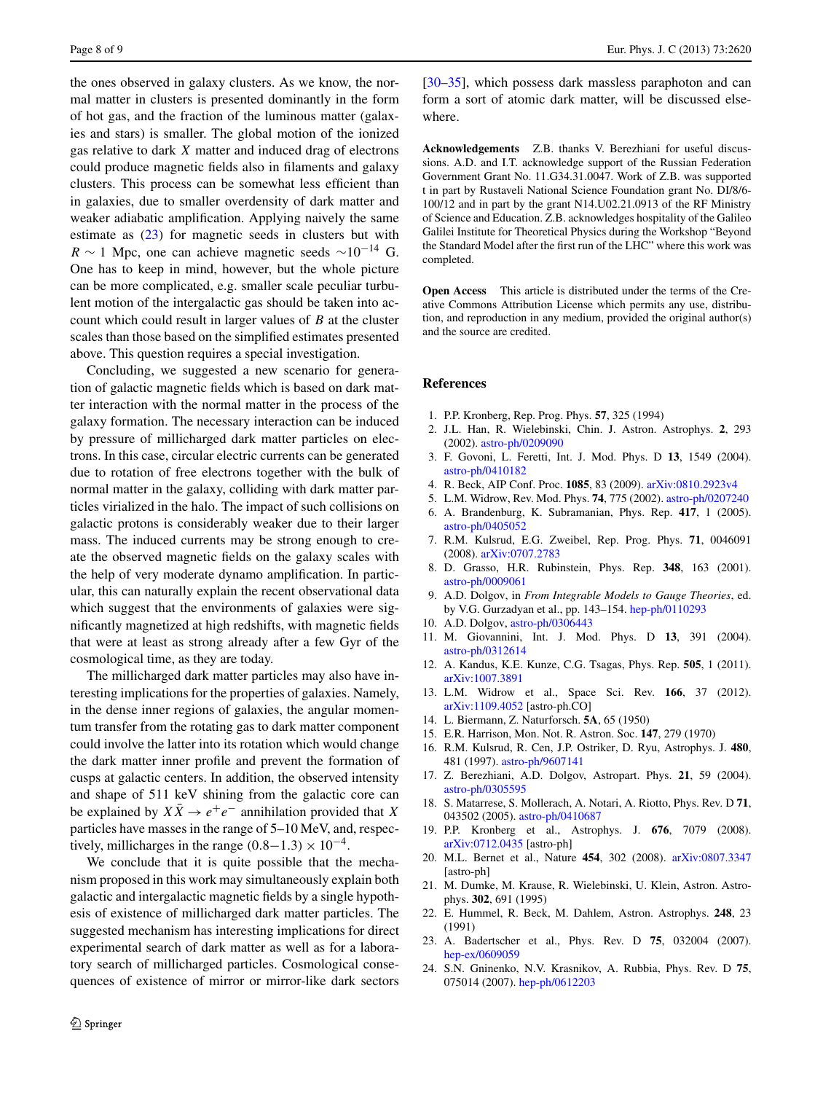the ones observed in galaxy clusters. As we know, the normal matter in clusters is presented dominantly in the form of hot gas, and the fraction of the luminous matter (galaxies and stars) is smaller. The global motion of the ionized gas relative to dark *X* matter and induced drag of electrons could produce magnetic fields also in filaments and galaxy clusters. This process can be somewhat less efficient than in galaxies, due to smaller overdensity of dark matter and weaker adiabatic amplification. Applying naively the same estimate as ([23\)](#page-6-4) for magnetic seeds in clusters but with  $R \sim 1$  Mpc, one can achieve magnetic seeds  $\sim 10^{-14}$  G. One has to keep in mind, however, but the whole picture can be more complicated, e.g. smaller scale peculiar turbulent motion of the intergalactic gas should be taken into account which could result in larger values of *B* at the cluster scales than those based on the simplified estimates presented above. This question requires a special investigation.

Concluding, we suggested a new scenario for generation of galactic magnetic fields which is based on dark matter interaction with the normal matter in the process of the galaxy formation. The necessary interaction can be induced by pressure of millicharged dark matter particles on electrons. In this case, circular electric currents can be generated due to rotation of free electrons together with the bulk of normal matter in the galaxy, colliding with dark matter particles virialized in the halo. The impact of such collisions on galactic protons is considerably weaker due to their larger mass. The induced currents may be strong enough to create the observed magnetic fields on the galaxy scales with the help of very moderate dynamo amplification. In particular, this can naturally explain the recent observational data which suggest that the environments of galaxies were significantly magnetized at high redshifts, with magnetic fields that were at least as strong already after a few Gyr of the cosmological time, as they are today.

The millicharged dark matter particles may also have interesting implications for the properties of galaxies. Namely, in the dense inner regions of galaxies, the angular momentum transfer from the rotating gas to dark matter component could involve the latter into its rotation which would change the dark matter inner profile and prevent the formation of cusps at galactic centers. In addition, the observed intensity and shape of 511 keV shining from the galactic core can be explained by  $X\overline{X} \to e^+e^-$  annihilation provided that *X* particles have masses in the range of 5–10 MeV, and, respectively, millicharges in the range  $(0.8-1.3) \times 10^{-4}$ .

We conclude that it is quite possible that the mechanism proposed in this work may simultaneously explain both galactic and intergalactic magnetic fields by a single hypothesis of existence of millicharged dark matter particles. The suggested mechanism has interesting implications for direct experimental search of dark matter as well as for a laboratory search of millicharged particles. Cosmological consequences of existence of mirror or mirror-like dark sectors [\[30](#page-8-6)[–35](#page-8-10)], which possess dark massless paraphoton and can form a sort of atomic dark matter, will be discussed elsewhere.

**Acknowledgements** Z.B. thanks V. Berezhiani for useful discussions. A.D. and I.T. acknowledge support of the Russian Federation Government Grant No. 11.G34.31.0047. Work of Z.B. was supported t in part by Rustaveli National Science Foundation grant No. DI/8/6- 100/12 and in part by the grant N14.U02.21.0913 of the RF Ministry of Science and Education. Z.B. acknowledges hospitality of the Galileo Galilei Institute for Theoretical Physics during the Workshop "Beyond the Standard Model after the first run of the LHC" where this work was completed.

<span id="page-7-0"></span>**Open Access** This article is distributed under the terms of the Creative Commons Attribution License which permits any use, distribution, and reproduction in any medium, provided the original author(s) and the source are credited.

## <span id="page-7-2"></span><span id="page-7-1"></span>**References**

- <span id="page-7-4"></span><span id="page-7-3"></span>1. P.P. Kronberg, Rep. Prog. Phys. **57**, 325 (1994)
- 2. J.L. Han, R. Wielebinski, Chin. J. Astron. Astrophys. **2**, 293 (2002). [astro-ph/0209090](http://arxiv.org/abs/astro-ph/0209090)
- 3. F. Govoni, L. Feretti, Int. J. Mod. Phys. D **13**, 1549 (2004). [astro-ph/0410182](http://arxiv.org/abs/astro-ph/0410182)
- 4. R. Beck, AIP Conf. Proc. **1085**, 83 (2009). [arXiv:0810.2923v4](http://arxiv.org/abs/arXiv:0810.2923v4)
- 5. L.M. Widrow, Rev. Mod. Phys. **74**, 775 (2002). [astro-ph/0207240](http://arxiv.org/abs/astro-ph/0207240)
- 6. A. Brandenburg, K. Subramanian, Phys. Rep. **417**, 1 (2005). [astro-ph/0405052](http://arxiv.org/abs/astro-ph/0405052)
- 7. R.M. Kulsrud, E.G. Zweibel, Rep. Prog. Phys. **71**, 0046091 (2008). [arXiv:0707.2783](http://arxiv.org/abs/arXiv:0707.2783)
- <span id="page-7-5"></span>8. D. Grasso, H.R. Rubinstein, Phys. Rep. **348**, 163 (2001). [astro-ph/0009061](http://arxiv.org/abs/astro-ph/0009061)
- 9. A.D. Dolgov, in *From Integrable Models to Gauge Theories*, ed. by V.G. Gurzadyan et al., pp. 143–154. [hep-ph/0110293](http://arxiv.org/abs/hep-ph/0110293)
- <span id="page-7-7"></span><span id="page-7-6"></span>10. A.D. Dolgov, [astro-ph/0306443](http://arxiv.org/abs/astro-ph/0306443)
- 11. M. Giovannini, Int. J. Mod. Phys. D **13**, 391 (2004). [astro-ph/0312614](http://arxiv.org/abs/astro-ph/0312614)
- <span id="page-7-9"></span><span id="page-7-8"></span>12. A. Kandus, K.E. Kunze, C.G. Tsagas, Phys. Rep. **505**, 1 (2011). [arXiv:1007.3891](http://arxiv.org/abs/arXiv:1007.3891)
- <span id="page-7-10"></span>13. L.M. Widrow et al., Space Sci. Rev. **166**, 37 (2012). [arXiv:1109.4052](http://arxiv.org/abs/arXiv:1109.4052) [astro-ph.CO]
- 14. L. Biermann, Z. Naturforsch. **5A**, 65 (1950)
- <span id="page-7-11"></span>15. E.R. Harrison, Mon. Not. R. Astron. Soc. **147**, 279 (1970)
- <span id="page-7-12"></span>16. R.M. Kulsrud, R. Cen, J.P. Ostriker, D. Ryu, Astrophys. J. **480**, 481 (1997). [astro-ph/9607141](http://arxiv.org/abs/astro-ph/9607141)
- 17. Z. Berezhiani, A.D. Dolgov, Astropart. Phys. **21**, 59 (2004). [astro-ph/0305595](http://arxiv.org/abs/astro-ph/0305595)
- <span id="page-7-14"></span><span id="page-7-13"></span>18. S. Matarrese, S. Mollerach, A. Notari, A. Riotto, Phys. Rev. D **71**, 043502 (2005). [astro-ph/0410687](http://arxiv.org/abs/astro-ph/0410687)
- <span id="page-7-15"></span>19. P.P. Kronberg et al., Astrophys. J. **676**, 7079 (2008). [arXiv:0712.0435](http://arxiv.org/abs/arXiv:0712.0435) [astro-ph]
- 20. M.L. Bernet et al., Nature **454**, 302 (2008). [arXiv:0807.3347](http://arxiv.org/abs/arXiv:0807.3347) [astro-ph]
- 21. M. Dumke, M. Krause, R. Wielebinski, U. Klein, Astron. Astrophys. **302**, 691 (1995)
- 22. E. Hummel, R. Beck, M. Dahlem, Astron. Astrophys. **248**, 23 (1991)
- 23. A. Badertscher et al., Phys. Rev. D **75**, 032004 (2007). [hep-ex/0609059](http://arxiv.org/abs/hep-ex/0609059)
- 24. S.N. Gninenko, N.V. Krasnikov, A. Rubbia, Phys. Rev. D **75**, 075014 (2007). [hep-ph/0612203](http://arxiv.org/abs/hep-ph/0612203)